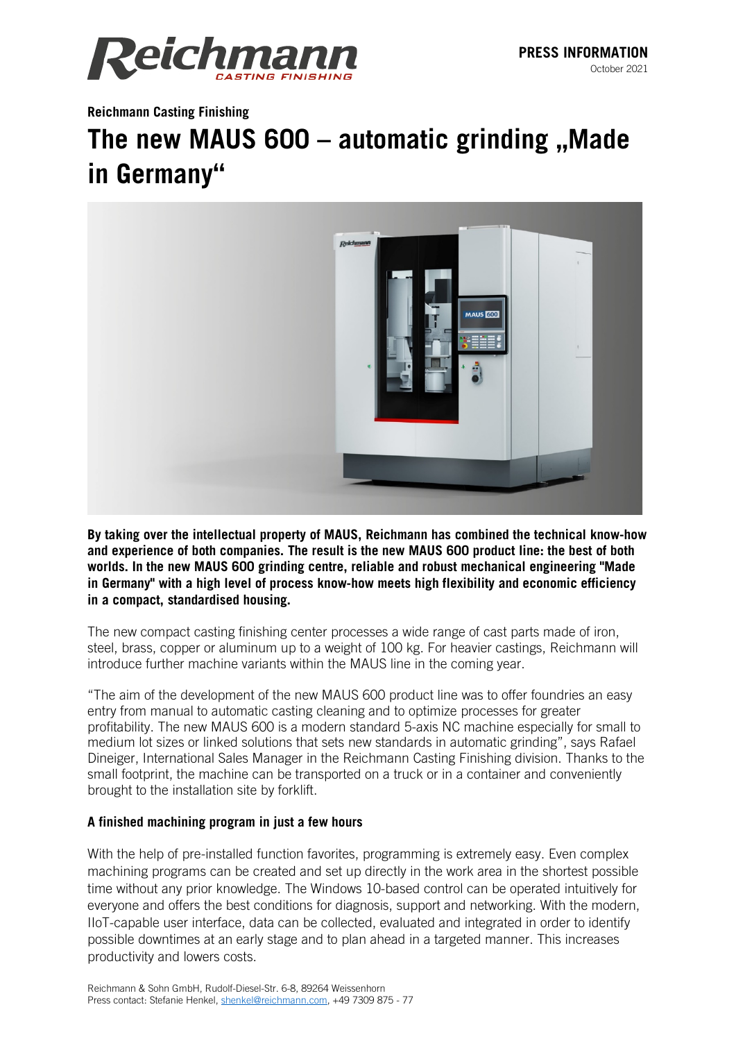

**Reichmann Casting Finishing**

# **The new MAUS 600 – automatic grinding "Made in Germany"**



**By taking over the intellectual property of MAUS, Reichmann has combined the technical know-how and experience of both companies. The result is the new MAUS 600 product line: the best of both worlds. In the new MAUS 600 grinding centre, reliable and robust mechanical engineering "Made in Germany" with a high level of process know-how meets high flexibility and economic efficiency in a compact, standardised housing.**

The new compact casting finishing center processes a wide range of cast parts made of iron, steel, brass, copper or aluminum up to a weight of 100 kg. For heavier castings, Reichmann will introduce further machine variants within the MAUS line in the coming year.

"The aim of the development of the new MAUS 600 product line was to offer foundries an easy entry from manual to automatic casting cleaning and to optimize processes for greater profitability. The new MAUS 600 is a modern standard 5-axis NC machine especially for small to medium lot sizes or linked solutions that sets new standards in automatic grinding", says Rafael Dineiger, International Sales Manager in the Reichmann Casting Finishing division. Thanks to the small footprint, the machine can be transported on a truck or in a container and conveniently brought to the installation site by forklift.

## **A finished machining program in just a few hours**

With the help of pre-installed function favorites, programming is extremely easy. Even complex machining programs can be created and set up directly in the work area in the shortest possible time without any prior knowledge. The Windows 10-based control can be operated intuitively for everyone and offers the best conditions for diagnosis, support and networking. With the modern, IIoT-capable user interface, data can be collected, evaluated and integrated in order to identify possible downtimes at an early stage and to plan ahead in a targeted manner. This increases productivity and lowers costs.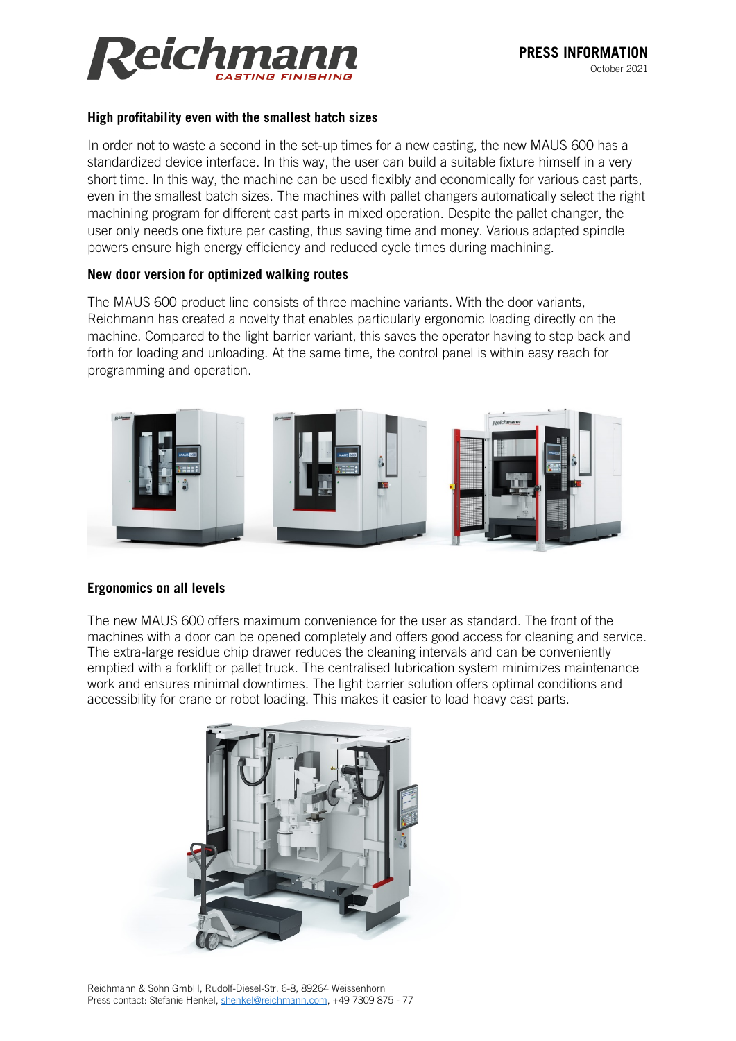

### **High profitability even with the smallest batch sizes**

In order not to waste a second in the set-up times for a new casting, the new MAUS 600 has a standardized device interface. In this way, the user can build a suitable fixture himself in a very short time. In this way, the machine can be used flexibly and economically for various cast parts, even in the smallest batch sizes. The machines with pallet changers automatically select the right machining program for different cast parts in mixed operation. Despite the pallet changer, the user only needs one fixture per casting, thus saving time and money. Various adapted spindle powers ensure high energy efficiency and reduced cycle times during machining.

### **New door version for optimized walking routes**

The MAUS 600 product line consists of three machine variants. With the door variants, Reichmann has created a novelty that enables particularly ergonomic loading directly on the machine. Compared to the light barrier variant, this saves the operator having to step back and forth for loading and unloading. At the same time, the control panel is within easy reach for programming and operation.



## **Ergonomics on all levels**

The new MAUS 600 offers maximum convenience for the user as standard. The front of the machines with a door can be opened completely and offers good access for cleaning and service. The extra-large residue chip drawer reduces the cleaning intervals and can be conveniently emptied with a forklift or pallet truck. The centralised lubrication system minimizes maintenance work and ensures minimal downtimes. The light barrier solution offers optimal conditions and accessibility for crane or robot loading. This makes it easier to load heavy cast parts.